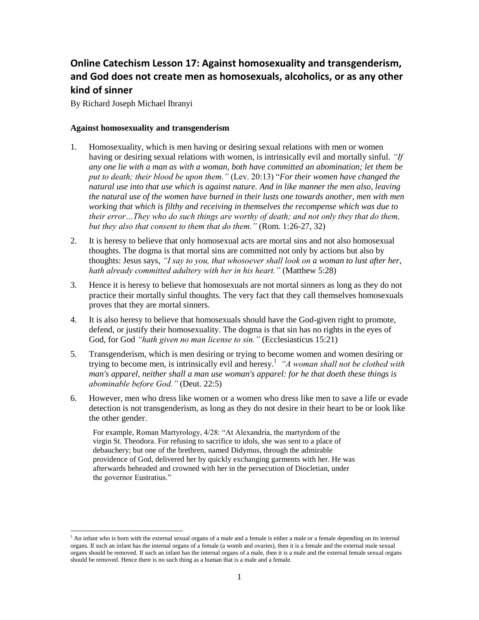## **Online Catechism Lesson 17: Against homosexuality and transgenderism, and God does not create men as homosexuals, alcoholics, or as any other kind of sinner**

By Richard Joseph Michael Ibranyi

l

## **Against homosexuality and transgenderism**

- 1. Homosexuality, which is men having or desiring sexual relations with men or women having or desiring sexual relations with women, is intrinsically evil and mortally sinful. *"If any one lie with a man as with a woman, both have committed an abomination; let them be put to death; their blood be upon them."* (Lev. 20:13) "*For their women have changed the natural use into that use which is against nature. And in like manner the men also, leaving the natural use of the women have burned in their lusts one towards another, men with men working that which is filthy and receiving in themselves the recompense which was due to their error…They who do such things are worthy of death; and not only they that do them, but they also that consent to them that do them."* (Rom. 1:26-27, 32)
- 2. It is heresy to believe that only homosexual acts are mortal sins and not also homosexual thoughts. The dogma is that mortal sins are committed not only by actions but also by thoughts: Jesus says, *"I say to you, that whosoever shall look on a woman to lust after her, hath already committed adultery with her in his heart."* (Matthew 5:28)
- 3. Hence it is heresy to believe that homosexuals are not mortal sinners as long as they do not practice their mortally sinful thoughts. The very fact that they call themselves homosexuals proves that they are mortal sinners.
- 4. It is also heresy to believe that homosexuals should have the God-given right to promote, defend, or justify their homosexuality. The dogma is that sin has no rights in the eyes of God, for God *"hath given no man license to sin."* (Ecclesiasticus 15:21)
- 5. Transgenderism, which is men desiring or trying to become women and women desiring or trying to become men, is intrinsically evil and heresy.<sup>1</sup> *"A woman shall not be clothed with man's apparel, neither shall a man use woman's apparel: for he that doeth these things is abominable before God."* (Deut. 22:5)
- 6. However, men who dress like women or a women who dress like men to save a life or evade detection is not transgenderism, as long as they do not desire in their heart to be or look like the other gender.

For example, Roman Martyrology, 4/28: "At Alexandria, the martyrdom of the virgin St. Theodora. For refusing to sacrifice to idols, she was sent to a place of debauchery; but one of the brethren, named Didymus, through the admirable providence of God, delivered her by quickly exchanging garments with her. He was afterwards beheaded and crowned with her in the persecution of Diocletian, under the governor Eustratius."

<sup>&</sup>lt;sup>1</sup> An infant who is born with the external sexual organs of a male and a female is either a male or a female depending on its internal organs. If such an infant has the internal organs of a female (a womb and ovaries), then it is a female and the external male sexual organs should be removed. If such an infant has the internal organs of a male, then it is a male and the external female sexual organs should be removed. Hence there is no such thing as a human that is a male and a female.